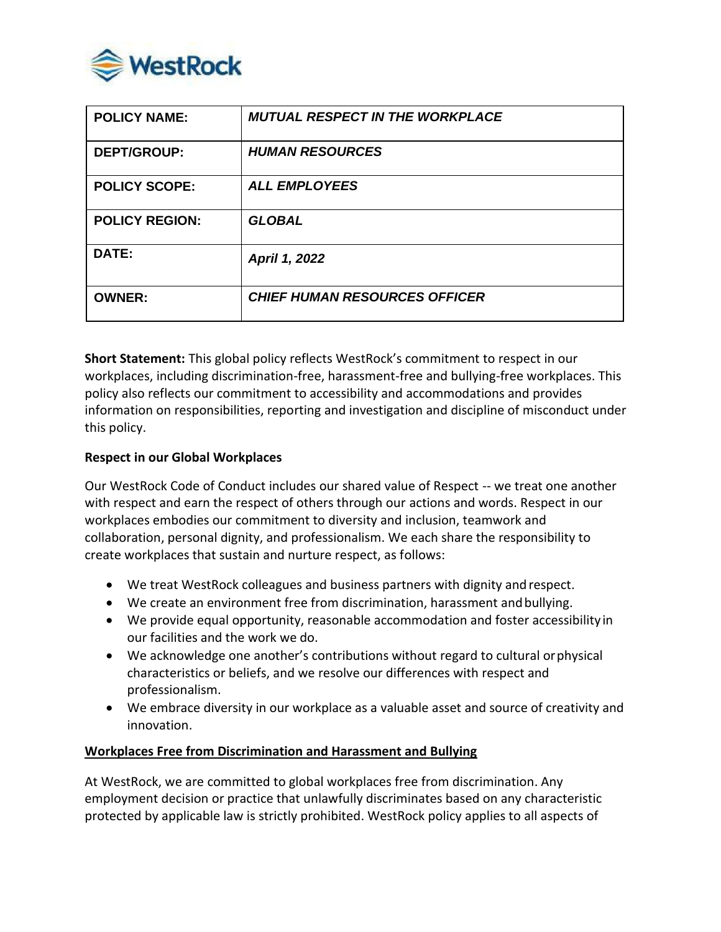

| <b>POLICY NAME:</b>   | <b>MUTUAL RESPECT IN THE WORKPLACE</b> |
|-----------------------|----------------------------------------|
| <b>DEPT/GROUP:</b>    | <b>HUMAN RESOURCES</b>                 |
| <b>POLICY SCOPE:</b>  | <b>ALL EMPLOYEES</b>                   |
| <b>POLICY REGION:</b> | <b>GLOBAL</b>                          |
| DATE:                 | April 1, 2022                          |
| <b>OWNER:</b>         | <b>CHIEF HUMAN RESOURCES OFFICER</b>   |

**Short Statement:** This global policy reflects WestRock's commitment to respect in our workplaces, including discrimination-free, harassment-free and bullying-free workplaces. This policy also reflects our commitment to accessibility and accommodations and provides information on responsibilities, reporting and investigation and discipline of misconduct under this policy.

#### **Respect in our Global Workplaces**

Our WestRock Code of Conduct includes our shared value of Respect -- we treat one another with respect and earn the respect of others through our actions and words. Respect in our workplaces embodies our commitment to diversity and inclusion, teamwork and collaboration, personal dignity, and professionalism. We each share the responsibility to create workplaces that sustain and nurture respect, as follows:

- We treat WestRock colleagues and business partners with dignity andrespect.
- We create an environment free from discrimination, harassment and bullying.
- We provide equal opportunity, reasonable accommodation and foster accessibility in our facilities and the work we do.
- We acknowledge one another's contributions without regard to cultural orphysical characteristics or beliefs, and we resolve our differences with respect and professionalism.
- We embrace diversity in our workplace as a valuable asset and source of creativity and innovation.

#### **Workplaces Free from Discrimination and Harassment and Bullying**

At WestRock, we are committed to global workplaces free from discrimination. Any employment decision or practice that unlawfully discriminates based on any characteristic protected by applicable law is strictly prohibited. WestRock policy applies to all aspects of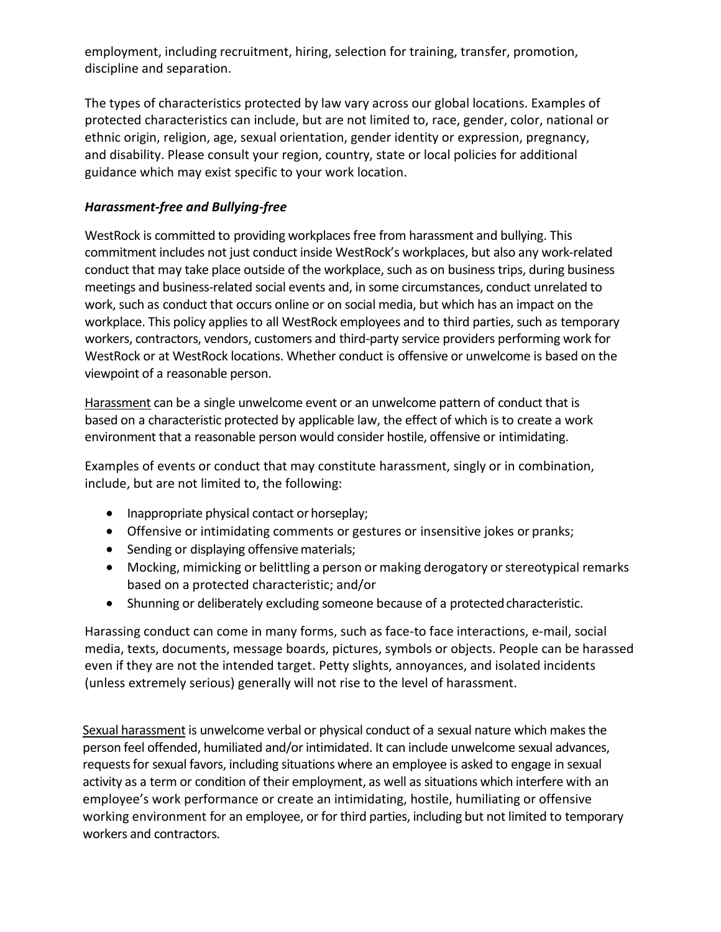employment, including recruitment, hiring, selection for training, transfer, promotion, discipline and separation.

The types of characteristics protected by law vary across our global locations. Examples of protected characteristics can include, but are not limited to, race, gender, color, national or ethnic origin, religion, age, sexual orientation, gender identity or expression, pregnancy, and disability. Please consult your region, country, state or local policies for additional guidance which may exist specific to your work location.

# *Harassment-free and Bullying-free*

WestRock is committed to providing workplaces free from harassment and bullying. This commitment includes not just conduct inside WestRock's workplaces, but also any work-related conduct that may take place outside of the workplace, such as on business trips, during business meetings and business-related social events and, in some circumstances, conduct unrelated to work, such as conduct that occurs online or on social media, but which has an impact on the workplace. This policy applies to all WestRock employees and to third parties, such as temporary workers, contractors, vendors, customers and third-party service providers performing work for WestRock or at WestRock locations. Whether conduct is offensive or unwelcome is based on the viewpoint of a reasonable person.

Harassment can be a single unwelcome event or an unwelcome pattern of conduct that is based on a characteristic protected by applicable law, the effect of which is to create a work environment that a reasonable person would consider hostile, offensive or intimidating.

Examples of events or conduct that may constitute harassment, singly or in combination, include, but are not limited to, the following:

- Inappropriate physical contact or horseplay;
- Offensive or intimidating comments or gestures or insensitive jokes or pranks;
- Sending or displaying offensive materials;
- Mocking, mimicking or belittling a person or making derogatory or stereotypical remarks based on a protected characteristic; and/or
- Shunning or deliberately excluding someone because of a protected characteristic.

Harassing conduct can come in many forms, such as face-to face interactions, e-mail, social media, texts, documents, message boards, pictures, symbols or objects. People can be harassed even if they are not the intended target. Petty slights, annoyances, and isolated incidents (unless extremely serious) generally will not rise to the level of harassment.

Sexual harassment is unwelcome verbal or physical conduct of a sexual nature which makes the person feel offended, humiliated and/or intimidated. It can include unwelcome sexual advances, requests for sexual favors, including situations where an employee is asked to engage in sexual activity as a term or condition of their employment, as well as situations which interfere with an employee's work performance or create an intimidating, hostile, humiliating or offensive working environment for an employee, or for third parties, including but not limited to temporary workers and contractors.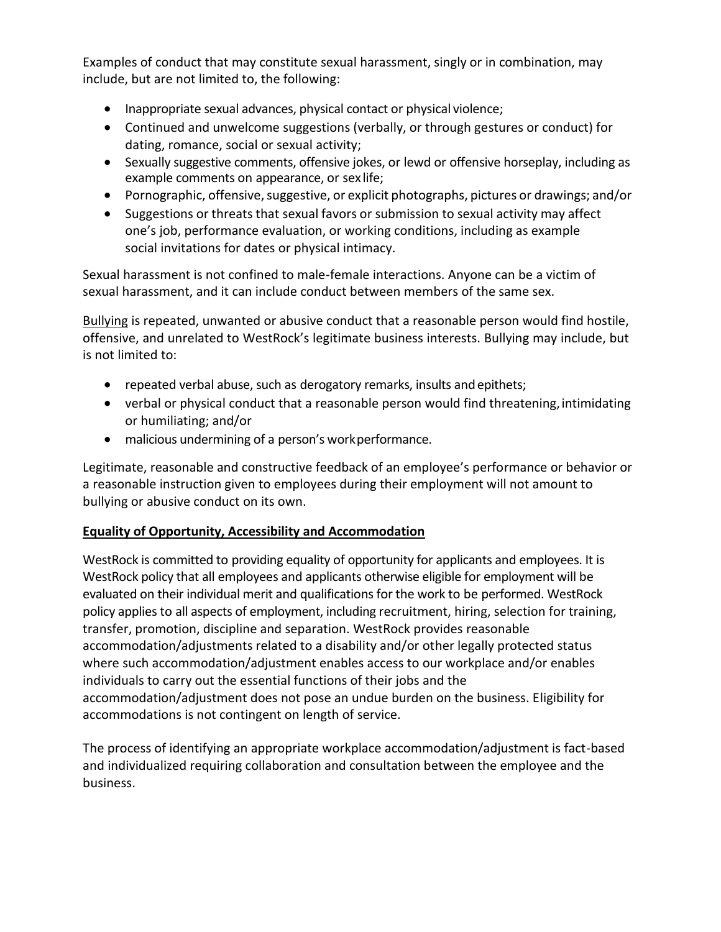Examples of conduct that may constitute sexual harassment, singly or in combination, may include, but are not limited to, the following:

- Inappropriate sexual advances, physical contact or physical violence;
- Continued and unwelcome suggestions (verbally, or through gestures or conduct) for dating, romance, social or sexual activity;
- Sexually suggestive comments, offensive jokes, or lewd or offensive horseplay, including as example comments on appearance, or sex life;
- Pornographic, offensive, suggestive, or explicit photographs, pictures or drawings; and/or
- Suggestions or threats that sexual favors or submission to sexual activity may affect one's job, performance evaluation, or working conditions, including as example social invitations for dates or physical intimacy.

Sexual harassment is not confined to male-female interactions. Anyone can be a victim of sexual harassment, and it can include conduct between members of the same sex.

Bullying is repeated, unwanted or abusive conduct that a reasonable person would find hostile, offensive, and unrelated to WestRock's legitimate business interests. Bullying may include, but is not limited to:

- repeated verbal abuse, such as derogatory remarks, insults and epithets;
- verbal or physical conduct that a reasonable person would find threatening, intimidating or humiliating; and/or
- malicious undermining of a person's workperformance.

Legitimate, reasonable and constructive feedback of an employee's performance or behavior or a reasonable instruction given to employees during their employment will not amount to bullying or abusive conduct on its own.

## **Equality of Opportunity, Accessibility and Accommodation**

WestRock is committed to providing equality of opportunity for applicants and employees. It is WestRock policy that all employees and applicants otherwise eligible for employment will be evaluated on their individual merit and qualifications for the work to be performed. WestRock policy applies to all aspects of employment, including recruitment, hiring, selection for training, transfer, promotion, discipline and separation. WestRock provides reasonable accommodation/adjustments related to a disability and/or other legally protected status where such accommodation/adjustment enables access to our workplace and/or enables individuals to carry out the essential functions of their jobs and the accommodation/adjustment does not pose an undue burden on the business. Eligibility for accommodations is not contingent on length of service.

The process of identifying an appropriate workplace accommodation/adjustment is fact-based and individualized requiring collaboration and consultation between the employee and the business.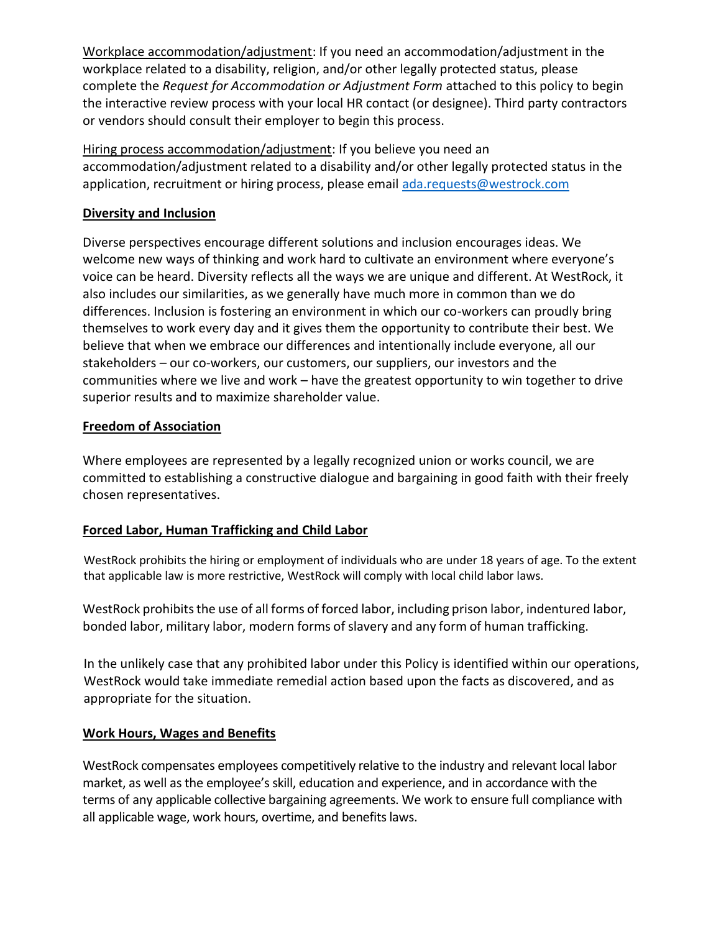Workplace accommodation/adjustment: If you need an accommodation/adjustment in the workplace related to a disability, religion, and/or other legally protected status, please complete the *Request for Accommodation or Adjustment Form* attached to this policy to begin the interactive review process with your local HR contact (or designee). Third party contractors or vendors should consult their employer to begin this process.

Hiring process accommodation/adjustment: If you believe you need an accommodation/adjustment related to a disability and/or other legally protected status in the application, recruitment or hiring process, please email [ada.requests@westrock.com](mailto:ada.requests@westrock.com)

# **Diversity and Inclusion**

Diverse perspectives encourage different solutions and inclusion encourages ideas. We welcome new ways of thinking and work hard to cultivate an environment where everyone's voice can be heard. Diversity reflects all the ways we are unique and different. At WestRock, it also includes our similarities, as we generally have much more in common than we do differences. Inclusion is fostering an environment in which our co-workers can proudly bring themselves to work every day and it gives them the opportunity to contribute their best. We believe that when we embrace our differences and intentionally include everyone, all our stakeholders – our co-workers, our customers, our suppliers, our investors and the communities where we live and work – have the greatest opportunity to win together to drive superior results and to maximize shareholder value.

## **Freedom of Association**

Where employees are represented by a legally recognized union or works council, we are committed to establishing a constructive dialogue and bargaining in good faith with their freely chosen representatives.

## **Forced Labor, Human Trafficking and Child Labor**

WestRock prohibits the hiring or employment of individuals who are under 18 years of age. To the extent that applicable law is more restrictive, WestRock will comply with local child labor laws.

WestRock prohibits the use of all forms of forced labor, including prison labor, indentured labor, bonded labor, military labor, modern forms of slavery and any form of human trafficking.

In the unlikely case that any prohibited labor under this Policy is identified within our operations, WestRock would take immediate remedial action based upon the facts as discovered, and as appropriate for the situation.

## **Work Hours, Wages and Benefits**

WestRock compensates employees competitively relative to the industry and relevant local labor market, as well as the employee's skill, education and experience, and in accordance with the terms of any applicable collective bargaining agreements. We work to ensure full compliance with all applicable wage, work hours, overtime, and benefits laws.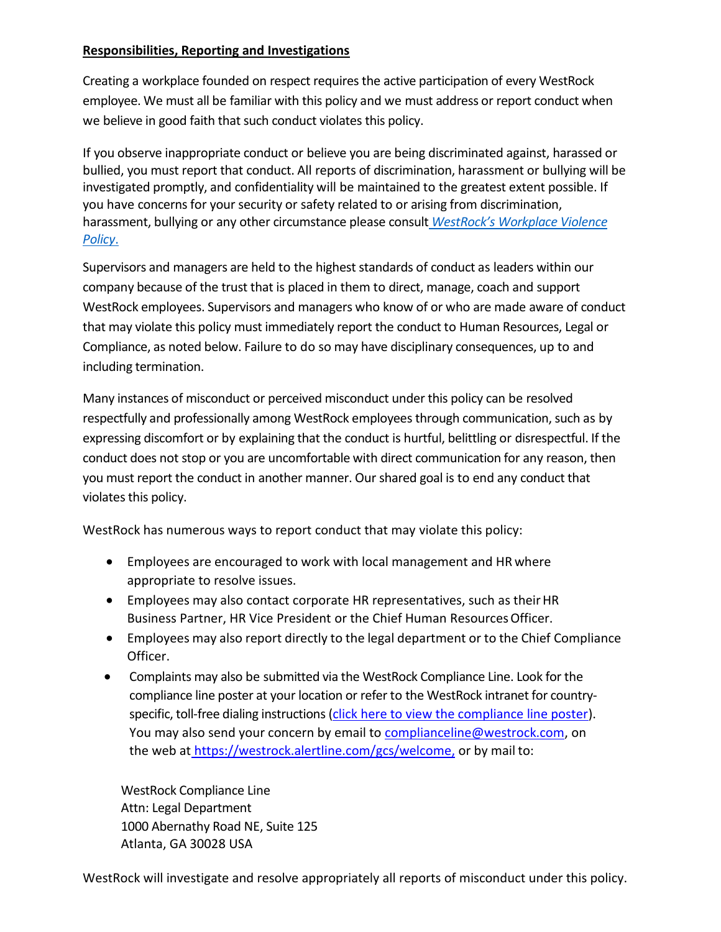#### **Responsibilities, Reporting and Investigations**

Creating a workplace founded on respect requires the active participation of every WestRock employee. We must all be familiar with this policy and we must address or report conduct when we believe in good faith that such conduct violates this policy.

If you observe inappropriate conduct or believe you are being discriminated against, harassed or bullied, you must report that conduct. All reports of discrimination, harassment or bullying will be investigated promptly, and confidentiality will be maintained to the greatest extent possible. If you have concerns for your security or safety related to or arising from discrimination, harassment, bullying or any other circumstance please consult *[WestRock's Workplace](https://westrockco.sharepoint.com/sites/PoliciesProcedures/Shared%20Documents/WR%20Workplace%20Violence%20Policy%20FINAL.pdf) Violence [Policy](https://westrockco.sharepoint.com/sites/PoliciesProcedures/Shared%20Documents/WR%20Workplace%20Violence%20Policy%20FINAL.pdf)*.

Supervisors and managers are held to the highest standards of conduct as leaders within our company because of the trust that is placed in them to direct, manage, coach and support WestRock employees. Supervisors and managers who know of or who are made aware of conduct that may violate this policy must immediately report the conduct to Human Resources, Legal or Compliance, as noted below. Failure to do so may have disciplinary consequences, up to and including termination.

Many instances of misconduct or perceived misconduct under this policy can be resolved respectfully and professionally among WestRock employees through communication, such as by expressing discomfort or by explaining that the conduct is hurtful, belittling or disrespectful. If the conduct does not stop or you are uncomfortable with direct communication for any reason, then you must report the conduct in another manner. Our shared goal is to end any conduct that violates this policy.

WestRock has numerous ways to report conduct that may violate this policy:

- Employees are encouraged to work with local management and HR where appropriate to resolve issues.
- Employees may also contact corporate HR representatives, such as their HR Business Partner, HR Vice President or the Chief Human ResourcesOfficer.
- Employees may also report directly to the legal department or to the Chief Compliance Officer.
- Complaints may also be submitted via the WestRock Compliance Line. Look for the compliance line poster at your location or refer to the WestRock intranet for countryspecific, toll-free dialing instructions [\(click here to view the compliance line poster\)](https://westrockco.sharepoint.com/sites/EthicsCompliance/SitePages/Compliance-Line.aspx). You may also send your concern by email to [complianceline@westrock.com,](mailto:complianceline@westrock.com) on the web at [https://westrock.alertline.com/gcs/welcome,](https://westrock.alertline.com/gcs/welcome) or by mail to:

WestRock Compliance Line Attn: Legal Department 1000 Abernathy Road NE, Suite 125 Atlanta, GA 30028 USA

WestRock will investigate and resolve appropriately all reports of misconduct under this policy.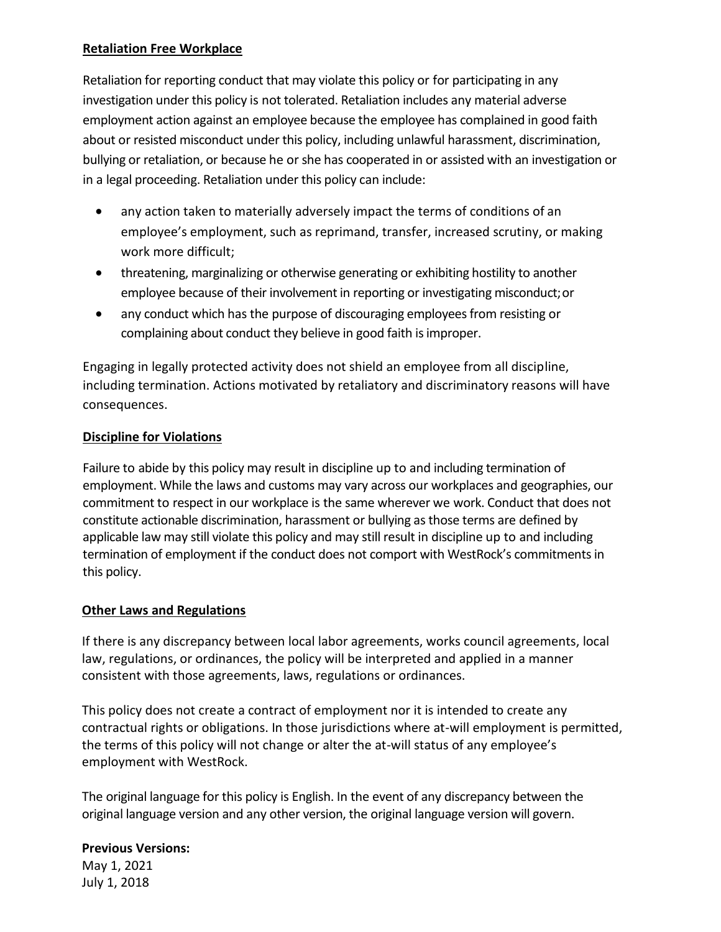#### **Retaliation Free Workplace**

Retaliation for reporting conduct that may violate this policy or for participating in any investigation under this policy is not tolerated. Retaliation includes any material adverse employment action against an employee because the employee has complained in good faith about or resisted misconduct under this policy, including unlawful harassment, discrimination, bullying or retaliation, or because he or she has cooperated in or assisted with an investigation or in a legal proceeding. Retaliation under this policy can include:

- any action taken to materially adversely impact the terms of conditions of an employee's employment, such as reprimand, transfer, increased scrutiny, or making work more difficult;
- threatening, marginalizing or otherwise generating or exhibiting hostility to another employee because of their involvement in reporting or investigating misconduct;or
- any conduct which has the purpose of discouraging employees from resisting or complaining about conduct they believe in good faith is improper.

Engaging in legally protected activity does not shield an employee from all discipline, including termination. Actions motivated by retaliatory and discriminatory reasons will have consequences.

#### **Discipline for Violations**

Failure to abide by this policy may result in discipline up to and including termination of employment. While the laws and customs may vary across our workplaces and geographies, our commitment to respect in our workplace is the same wherever we work. Conduct that does not constitute actionable discrimination, harassment or bullying as those terms are defined by applicable law may still violate this policy and may still result in discipline up to and including termination of employment if the conduct does not comport with WestRock's commitments in this policy.

## **Other Laws and Regulations**

If there is any discrepancy between local labor agreements, works council agreements, local law, regulations, or ordinances, the policy will be interpreted and applied in a manner consistent with those agreements, laws, regulations or ordinances.

This policy does not create a contract of employment nor it is intended to create any contractual rights or obligations. In those jurisdictions where at-will employment is permitted, the terms of this policy will not change or alter the at-will status of any employee's employment with WestRock.

The original language for this policy is English. In the event of any discrepancy between the original language version and any other version, the original language version will govern.

## **Previous Versions:**

May 1, 2021 July 1, 2018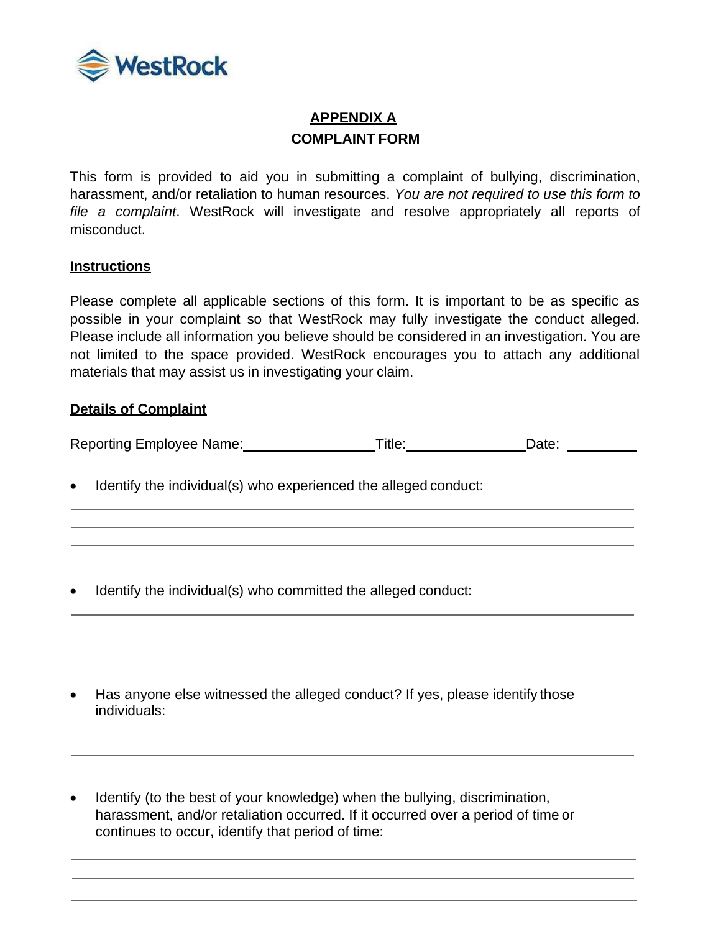

# **APPENDIX A COMPLAINT FORM**

This form is provided to aid you in submitting a complaint of bullying, discrimination, harassment, and/or retaliation to human resources. *You are not required to use this form to file a complaint*. WestRock will investigate and resolve appropriately all reports of misconduct.

#### **Instructions**

Please complete all applicable sections of this form. It is important to be as specific as possible in your complaint so that WestRock may fully investigate the conduct alleged. Please include all information you believe should be considered in an investigation. You are not limited to the space provided. WestRock encourages you to attach any additional materials that may assist us in investigating your claim.

#### **Details of Complaint**

Reporting Employee Name: Title: Title: Date: Date: Date:

• Identify the individual(s) who experienced the alleged conduct:

• Identify the individual(s) who committed the alleged conduct:

- Has anyone else witnessed the alleged conduct? If yes, please identify those individuals:
- Identify (to the best of your knowledge) when the bullying, discrimination, harassment, and/or retaliation occurred. If it occurred over a period of time or continues to occur, identify that period of time: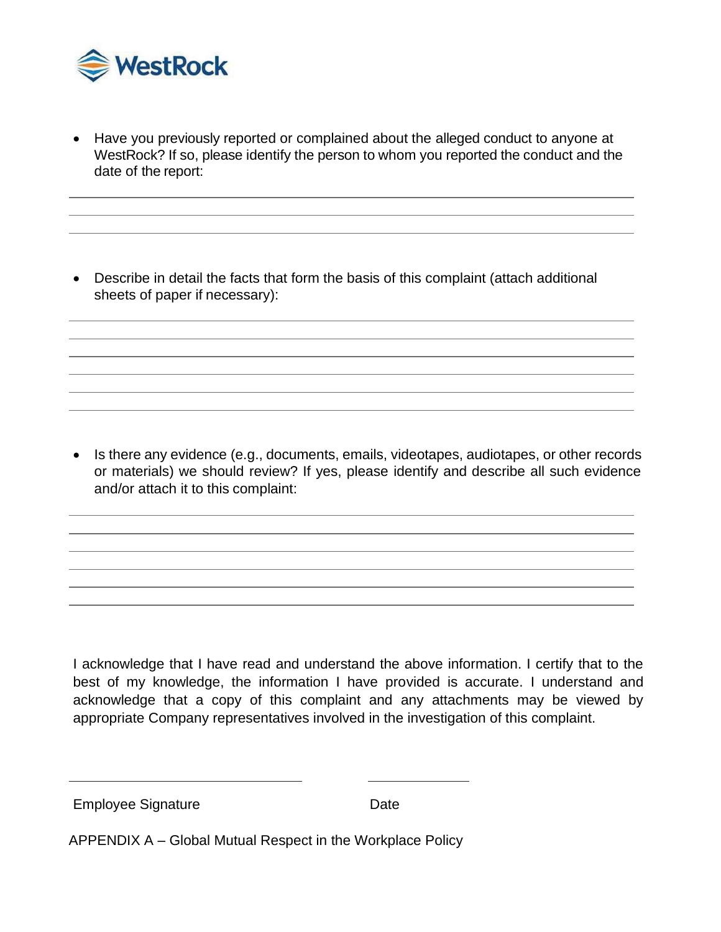

• Have you previously reported or complained about the alleged conduct to anyone at WestRock? If so, please identify the person to whom you reported the conduct and the date of the report:

• Describe in detail the facts that form the basis of this complaint (attach additional sheets of paper if necessary):

• Is there any evidence (e.g., documents, emails, videotapes, audiotapes, or other records or materials) we should review? If yes, please identify and describe all such evidence and/or attach it to this complaint:

I acknowledge that I have read and understand the above information. I certify that to the best of my knowledge, the information I have provided is accurate. I understand and acknowledge that a copy of this complaint and any attachments may be viewed by appropriate Company representatives involved in the investigation of this complaint.

Employee Signature **Date** 

APPENDIX A – Global Mutual Respect in the Workplace Policy